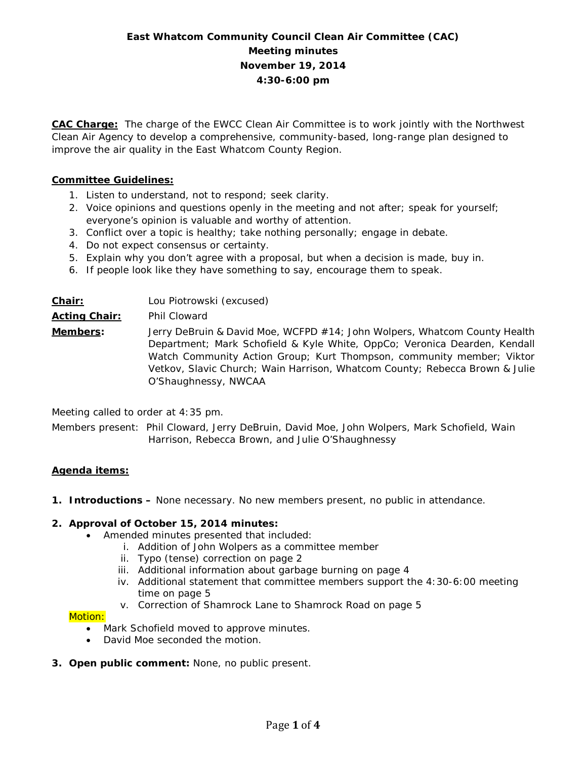# **East Whatcom Community Council Clean Air Committee (CAC) Meeting minutes November 19, 2014 4:30-6:00 pm**

**CAC Charge:** The charge of the EWCC Clean Air Committee is to work jointly with the Northwest Clean Air Agency to develop a comprehensive, community-based, long-range plan designed to improve the air quality in the East Whatcom County Region.

### **Committee Guidelines:**

- 1. Listen to understand, not to respond; seek clarity.
- 2. Voice opinions and questions openly in the meeting and not after; speak for yourself; everyone's opinion is valuable and worthy of attention.
- 3. Conflict over a topic is healthy; take nothing personally; engage in debate.
- 4. Do not expect consensus or certainty.
- 5. Explain why you don't agree with a proposal, but when a decision is made, buy in.
- 6. If people look like they have something to say, encourage them to speak.

# **Chair:** Lou Piotrowski (excused) **Acting Chair:** Phil Cloward **Members:** Jerry DeBruin & David Moe, WCFPD #14; John Wolpers, Whatcom County Health Department; Mark Schofield & Kyle White, OppCo; Veronica Dearden, Kendall Watch Community Action Group; Kurt Thompson, community member; Viktor Vetkov, Slavic Church; Wain Harrison, Whatcom County; Rebecca Brown & Julie O'Shaughnessy, NWCAA

Meeting called to order at 4:35 pm.

Members present: Phil Cloward, Jerry DeBruin, David Moe, John Wolpers, Mark Schofield, Wain Harrison, Rebecca Brown, and Julie O'Shaughnessy

#### **Agenda items:**

**1. Introductions –** None necessary. No new members present, no public in attendance.

#### **2. Approval of October 15, 2014 minutes:**

- Amended minutes presented that included:
	- i. Addition of John Wolpers as a committee member
	- ii. Typo (tense) correction on page 2
	- iii. Additional information about garbage burning on page 4
	- iv. Additional statement that committee members support the 4:30-6:00 meeting time on page 5
	- v. Correction of Shamrock Lane to Shamrock Road on page 5

#### Motion:

- Mark Schofield moved to approve minutes.
- David Moe seconded the motion.
- **3. Open public comment:** None, no public present.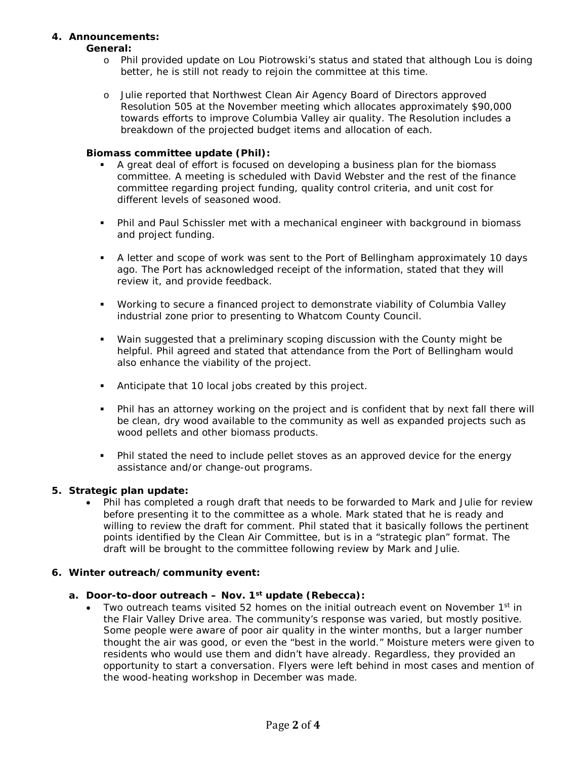### **4. Announcements:**

#### **General:**

- o Phil provided update on Lou Piotrowski's status and stated that although Lou is doing better, he is still not ready to rejoin the committee at this time.
- o Julie reported that Northwest Clean Air Agency Board of Directors approved Resolution 505 at the November meeting which allocates approximately \$90,000 towards efforts to improve Columbia Valley air quality. The Resolution includes a breakdown of the projected budget items and allocation of each.

#### **Biomass committee update (Phil):**

- A great deal of effort is focused on developing a business plan for the biomass committee. A meeting is scheduled with David Webster and the rest of the finance committee regarding project funding, quality control criteria, and unit cost for different levels of seasoned wood.
- Phil and Paul Schissler met with a mechanical engineer with background in biomass and project funding.
- A letter and scope of work was sent to the Port of Bellingham approximately 10 days ago. The Port has acknowledged receipt of the information, stated that they will review it, and provide feedback.
- Working to secure a financed project to demonstrate viability of Columbia Valley industrial zone prior to presenting to Whatcom County Council.
- Wain suggested that a preliminary scoping discussion with the County might be helpful. Phil agreed and stated that attendance from the Port of Bellingham would also enhance the viability of the project.
- Anticipate that 10 local jobs created by this project.
- Phil has an attorney working on the project and is confident that by next fall there will be clean, dry wood available to the community as well as expanded projects such as wood pellets and other biomass products.
- Phil stated the need to include pellet stoves as an approved device for the energy assistance and/or change-out programs.

#### **5. Strategic plan update:**

• Phil has completed a rough draft that needs to be forwarded to Mark and Julie for review before presenting it to the committee as a whole. Mark stated that he is ready and willing to review the draft for comment. Phil stated that it basically follows the pertinent points identified by the Clean Air Committee, but is in a "strategic plan" format. The draft will be brought to the committee following review by Mark and Julie.

#### **6. Winter outreach/community event:**

- **a. Door-to-door outreach – Nov. 1st update (Rebecca):**
	- Two outreach teams visited 52 homes on the initial outreach event on November  $1<sup>st</sup>$  in the Flair Valley Drive area. The community's response was varied, but mostly positive. Some people were aware of poor air quality in the winter months, but a larger number thought the air was good, or even the "best in the world." Moisture meters were given to residents who would use them and didn't have already. Regardless, they provided an opportunity to start a conversation. Flyers were left behind in most cases and mention of the wood-heating workshop in December was made.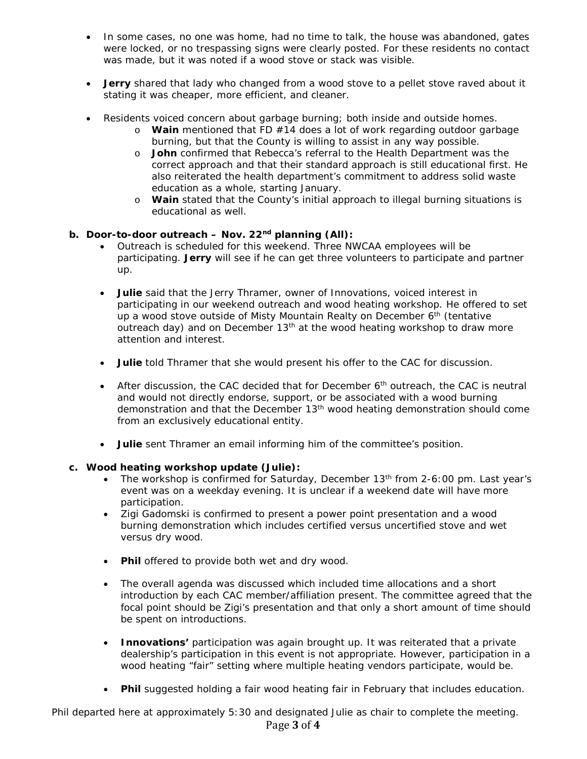- In some cases, no one was home, had no time to talk, the house was abandoned, gates were locked, or no trespassing signs were clearly posted. For these residents no contact was made, but it was noted if a wood stove or stack was visible.
- **Jerry** shared that lady who changed from a wood stove to a pellet stove raved about it stating it was cheaper, more efficient, and cleaner.
- Residents voiced concern about garbage burning; both inside and outside homes.
	- o **Wain** mentioned that FD #14 does a lot of work regarding outdoor garbage burning, but that the County is willing to assist in any way possible.
	- o **John** confirmed that Rebecca's referral to the Health Department was the correct approach and that their standard approach is still educational first. He also reiterated the health department's commitment to address solid waste education as a whole, starting January.
	- o **Wain** stated that the County's initial approach to illegal burning situations is educational as well.

## **b. Door-to-door outreach – Nov. 22nd planning (All):**

- Outreach is scheduled for this weekend. Three NWCAA employees will be participating. **Jerry** will see if he can get three volunteers to participate and partner up.
- **Julie** said that the Jerry Thramer, owner of Innovations, voiced interest in participating in our weekend outreach and wood heating workshop. He offered to set up a wood stove outside of Misty Mountain Realty on December 6<sup>th</sup> (tentative outreach day) and on December 13<sup>th</sup> at the wood heating workshop to draw more attention and interest.
- **Julie** told Thramer that she would present his offer to the CAC for discussion.
- After discussion, the CAC decided that for December  $6<sup>th</sup>$  outreach, the CAC is neutral and would not directly endorse, support, or be associated with a wood burning demonstration and that the December 13th wood heating demonstration should come from an exclusively educational entity.
- **Julie** sent Thramer an email informing him of the committee's position.

### **c. Wood heating workshop update (Julie):**

- The workshop is confirmed for Saturday, December 13<sup>th</sup> from 2-6:00 pm. Last year's event was on a weekday evening. It is unclear if a weekend date will have more participation.
- Zigi Gadomski is confirmed to present a power point presentation and a wood burning demonstration which includes certified versus uncertified stove and wet versus dry wood.
- **Phil** offered to provide both wet and dry wood.
- The overall agenda was discussed which included time allocations and a short introduction by each CAC member/affiliation present. The committee agreed that the focal point should be Zigi's presentation and that only a short amount of time should be spent on introductions.
- **Innovations'** participation was again brought up. It was reiterated that a private dealership's participation in this event is not appropriate. However, participation in a wood heating "fair" setting where multiple heating vendors participate, would be.
- **Phil** suggested holding a fair wood heating fair in February that includes education.

*Phil departed here at approximately 5:30 and designated Julie as chair to complete the meeting.* Page **3** of **4**